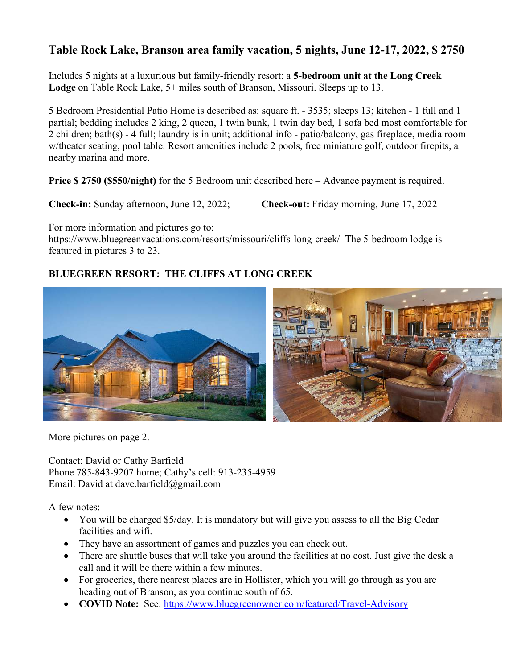## **Table Rock Lake, Branson area family vacation, 5 nights, June 12-17, 2022, \$ 2750**

Includes 5 nights at a luxurious but family-friendly resort: a **5-bedroom unit at the Long Creek Lodge** on Table Rock Lake, 5+ miles south of Branson, Missouri. Sleeps up to 13.

5 Bedroom Presidential Patio Home is described as: square ft. - 3535; sleeps 13; kitchen - 1 full and 1 partial; bedding includes 2 king, 2 queen, 1 twin bunk, 1 twin day bed, 1 sofa bed most comfortable for 2 children; bath(s) - 4 full; laundry is in unit; additional info - patio/balcony, gas fireplace, media room w/theater seating, pool table. Resort amenities include 2 pools, free miniature golf, outdoor firepits, a nearby marina and more.

**Price \$ 2750 (\$550/night)** for the 5 Bedroom unit described here – Advance payment is required.

**Check-in:** Sunday afternoon, June 12, 2022; **Check-out:** Friday morning, June 17, 2022

For more information and pictures go to:

https://www.bluegreenvacations.com/resorts/missouri/cliffs-long-creek/ The 5-bedroom lodge is featured in pictures 3 to 23.

## **BLUEGREEN RESORT: THE CLIFFS AT LONG CREEK**



More pictures on page 2.

Contact: David or Cathy Barfield Phone 785-843-9207 home; Cathy's cell: 913-235-4959 Email: David at dave.barfield@gmail.com

A few notes:

- You will be charged \$5/day. It is mandatory but will give you assess to all the Big Cedar facilities and wifi.
- They have an assortment of games and puzzles you can check out.
- There are shuttle buses that will take you around the facilities at no cost. Just give the desk a call and it will be there within a few minutes.
- For groceries, there nearest places are in Hollister, which you will go through as you are heading out of Branson, as you continue south of 65.
- **COVID Note:** See: https://www.bluegreenowner.com/featured/Travel-Advisory